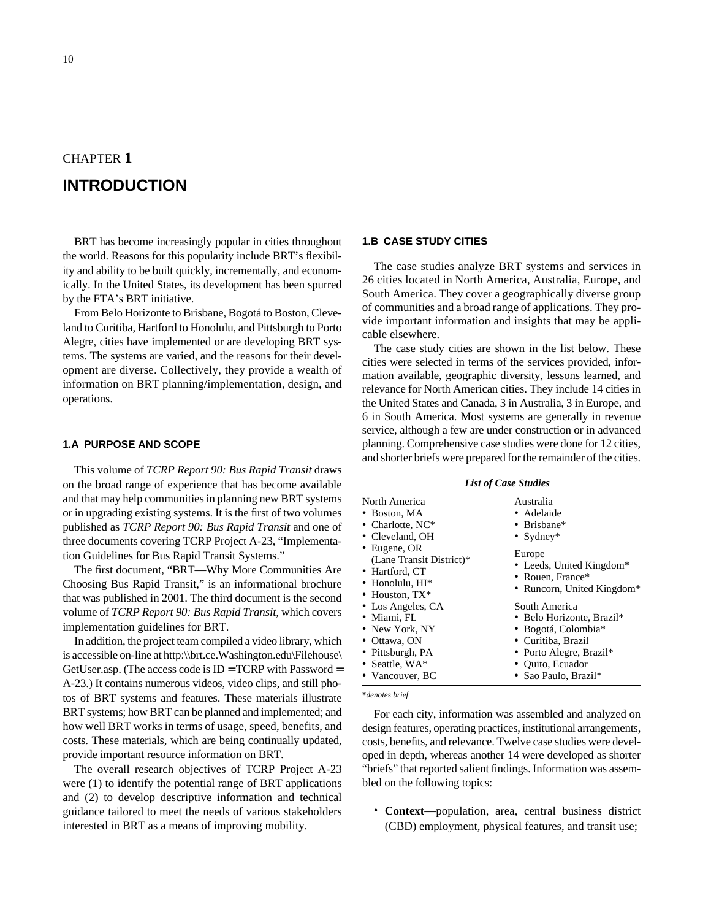## CHAPTER **1**

# **INTRODUCTION**

BRT has become increasingly popular in cities throughout the world. Reasons for this popularity include BRT's flexibility and ability to be built quickly, incrementally, and economically. In the United States, its development has been spurred by the FTA's BRT initiative.

From Belo Horizonte to Brisbane, Bogotá to Boston, Cleveland to Curitiba, Hartford to Honolulu, and Pittsburgh to Porto Alegre, cities have implemented or are developing BRT systems. The systems are varied, and the reasons for their development are diverse. Collectively, they provide a wealth of information on BRT planning/implementation, design, and operations.

#### **1.A PURPOSE AND SCOPE**

This volume of *TCRP Report 90: Bus Rapid Transit* draws on the broad range of experience that has become available and that may help communities in planning new BRT systems or in upgrading existing systems. It is the first of two volumes published as *TCRP Report 90: Bus Rapid Transit* and one of three documents covering TCRP Project A-23, "Implementation Guidelines for Bus Rapid Transit Systems."

The first document, "BRT—Why More Communities Are Choosing Bus Rapid Transit," is an informational brochure that was published in 2001. The third document is the second volume of *TCRP Report 90: Bus Rapid Transit,* which covers implementation guidelines for BRT.

In addition, the project team compiled a video library, which is accessible on-line at http:\\brt.ce.Washington.edu\Filehouse\ GetUser.asp. (The access code is  $ID = TCRP$  with Password = A-23.) It contains numerous videos, video clips, and still photos of BRT systems and features. These materials illustrate BRT systems; how BRT can be planned and implemented; and how well BRT works in terms of usage, speed, benefits, and costs. These materials, which are being continually updated, provide important resource information on BRT.

The overall research objectives of TCRP Project A-23 were (1) to identify the potential range of BRT applications and (2) to develop descriptive information and technical guidance tailored to meet the needs of various stakeholders interested in BRT as a means of improving mobility.

#### **1.B CASE STUDY CITIES**

The case studies analyze BRT systems and services in 26 cities located in North America, Australia, Europe, and South America. They cover a geographically diverse group of communities and a broad range of applications. They provide important information and insights that may be applicable elsewhere.

The case study cities are shown in the list below. These cities were selected in terms of the services provided, information available, geographic diversity, lessons learned, and relevance for North American cities. They include 14 cities in the United States and Canada, 3 in Australia, 3 in Europe, and 6 in South America. Most systems are generally in revenue service, although a few are under construction or in advanced planning. Comprehensive case studies were done for 12 cities, and shorter briefs were prepared for the remainder of the cities.

*List of Case Studies*

\**denotes brief*

For each city, information was assembled and analyzed on design features, operating practices, institutional arrangements, costs, benefits, and relevance. Twelve case studies were developed in depth, whereas another 14 were developed as shorter "briefs" that reported salient findings. Information was assembled on the following topics:

• **Context**—population, area, central business district (CBD) employment, physical features, and transit use;